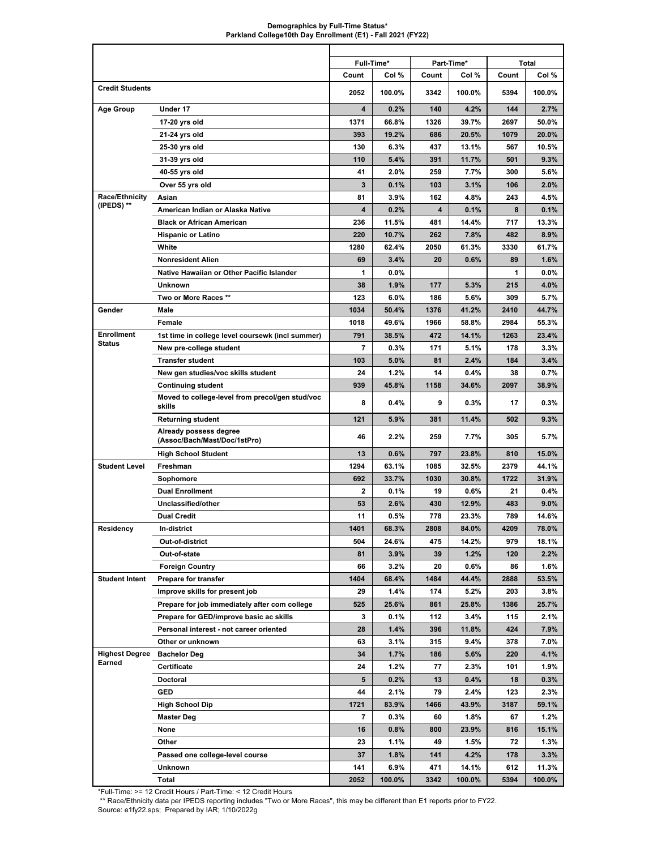## **Demographics by Full-Time Status\* Parkland College10th Day Enrollment (E1) - Fall 2021 (FY22)**

|                        |                                                           |       | Full-Time* |       | Part-Time* |       | <b>Total</b> |
|------------------------|-----------------------------------------------------------|-------|------------|-------|------------|-------|--------------|
|                        |                                                           | Count | Col %      | Count | Col %      | Count | Col %        |
| <b>Credit Students</b> |                                                           | 2052  | 100.0%     | 3342  | 100.0%     | 5394  | 100.0%       |
| <b>Age Group</b>       | Under 17                                                  | 4     | 0.2%       | 140   | 4.2%       | 144   | 2.7%         |
|                        | 17-20 yrs old                                             | 1371  | 66.8%      | 1326  | 39.7%      | 2697  | 50.0%        |
|                        | 21-24 yrs old                                             | 393   | 19.2%      | 686   | 20.5%      | 1079  | 20.0%        |
|                        | 25-30 yrs old                                             | 130   | 6.3%       | 437   | 13.1%      | 567   | 10.5%        |
|                        | 31-39 yrs old                                             | 110   | 5.4%       | 391   | 11.7%      | 501   | 9.3%         |
|                        | 40-55 yrs old                                             | 41    | $2.0\%$    | 259   | 7.7%       | 300   | 5.6%         |
|                        | Over 55 yrs old                                           | 3     | 0.1%       | 103   | 3.1%       | 106   | $2.0\%$      |
| Race/Ethnicity         | Asian                                                     | 81    | 3.9%       | 162   | 4.8%       | 243   | 4.5%         |
| (IPEDS) **             | American Indian or Alaska Native                          | 4     | 0.2%       | 4     | 0.1%       | 8     | 0.1%         |
|                        | <b>Black or African American</b>                          | 236   | 11.5%      | 481   | 14.4%      | 717   | 13.3%        |
|                        | <b>Hispanic or Latino</b>                                 | 220   | 10.7%      | 262   | 7.8%       | 482   | 8.9%         |
|                        | White                                                     | 1280  | 62.4%      | 2050  | 61.3%      | 3330  | 61.7%        |
|                        | <b>Nonresident Alien</b>                                  | 69    | 3.4%       | 20    | 0.6%       | 89    | 1.6%         |
|                        | Native Hawaiian or Other Pacific Islander                 | 1     | $0.0\%$    |       |            | 1     | $0.0\%$      |
|                        | <b>Unknown</b>                                            | 38    | 1.9%       | 177   | 5.3%       | 215   | 4.0%         |
|                        | Two or More Races **                                      | 123   | 6.0%       | 186   | 5.6%       | 309   | 5.7%         |
| Gender                 | Male                                                      | 1034  | 50.4%      | 1376  | 41.2%      | 2410  | 44.7%        |
|                        | Female                                                    | 1018  | 49.6%      | 1966  | 58.8%      | 2984  | 55.3%        |
| <b>Enrollment</b>      | 1st time in college level coursewk (incl summer)          | 791   | 38.5%      | 472   | 14.1%      | 1263  | 23.4%        |
| <b>Status</b>          | New pre-college student                                   | 7     | $0.3\%$    | 171   | 5.1%       | 178   | 3.3%         |
|                        | <b>Transfer student</b>                                   | 103   | 5.0%       | 81    | 2.4%       | 184   | 3.4%         |
|                        | New gen studies/voc skills student                        | 24    | 1.2%       | 14    | 0.4%       | 38    | 0.7%         |
|                        | <b>Continuing student</b>                                 | 939   | 45.8%      | 1158  | 34.6%      | 2097  | 38.9%        |
|                        | Moved to college-level from precol/gen stud/voc<br>skills | 8     | $0.4\%$    | 9     | 0.3%       | 17    | $0.3\%$      |
|                        | Returning student                                         | 121   | 5.9%       | 381   | 11.4%      | 502   | 9.3%         |
|                        | Already possess degree<br>(Assoc/Bach/Mast/Doc/1stPro)    | 46    | $2.2\%$    | 259   | 7.7%       | 305   | 5.7%         |
|                        | <b>High School Student</b>                                | 13    | 0.6%       | 797   | 23.8%      | 810   | 15.0%        |
| <b>Student Level</b>   | Freshman                                                  | 1294  | 63.1%      | 1085  | 32.5%      | 2379  | 44.1%        |
|                        | Sophomore                                                 | 692   | 33.7%      | 1030  | 30.8%      | 1722  | 31.9%        |
|                        | <b>Dual Enrollment</b>                                    | 2     | 0.1%       | 19    | 0.6%       | 21    | $0.4\%$      |
|                        | Unclassified/other                                        | 53    | 2.6%       | 430   | 12.9%      | 483   | $9.0\%$      |
|                        | <b>Dual Credit</b>                                        | 11    | 0.5%       | 778   | 23.3%      | 789   | 14.6%        |
| Residency              | In-district                                               | 1401  | 68.3%      | 2808  | 84.0%      | 4209  | 78.0%        |
|                        | Out-of-district                                           | 504   | 24.6%      | 475   | 14.2%      | 979   | 18.1%        |
|                        | Out-of-state                                              | 81    | 3.9%       | 39    | 1.2%       | 120   | 2.2%         |
|                        | <b>Foreign Country</b>                                    | 66    | $3.2\%$    | 20    | $0.6\%$    | 86    | $1.6\%$      |
| <b>Student Intent</b>  | <b>Prepare for transfer</b>                               | 1404  | 68.4%      | 1484  | 44.4%      | 2888  | 53.5%        |
|                        | Improve skills for present job                            | 29    | 1.4%       | 174   | 5.2%       | 203   | 3.8%         |
|                        | Prepare for job immediately after com college             | 525   | 25.6%      | 861   | 25.8%      | 1386  | 25.7%        |
|                        | Prepare for GED/improve basic ac skills                   | 3     | 0.1%       | 112   | $3.4\%$    | 115   | 2.1%         |
|                        | Personal interest - not career oriented                   | 28    | 1.4%       | 396   | 11.8%      | 424   | $7.9\%$      |
|                        |                                                           | 63    | 3.1%       | 315   | $9.4\%$    | 378   | 7.0%         |
| <b>Highest Degree</b>  | Other or unknown                                          |       | 1.7%       |       |            |       |              |
| Earned                 | <b>Bachelor Deg</b>                                       | 34    |            | 186   | 5.6%       | 220   | 4.1%         |
|                        | Certificate                                               | 24    | $1.2\%$    | 77    | 2.3%       | 101   | 1.9%         |
|                        | Doctoral                                                  | 5     | 0.2%       | 13    | 0.4%       | 18    | 0.3%         |
|                        | GED                                                       | 44    | 2.1%       | 79    | $2.4\%$    | 123   | $2.3\%$      |
|                        | High School Dip                                           | 1721  | 83.9%      | 1466  | 43.9%      | 3187  | 59.1%        |
|                        | Master Deg                                                | 7     | 0.3%       | 60    | 1.8%       | 67    | $1.2\%$      |
|                        | None                                                      | 16    | $0.8\%$    | 800   | 23.9%      | 816   | 15.1%        |
|                        | Other                                                     | 23    | 1.1%       | 49    | 1.5%       | 72    | 1.3%         |
|                        | Passed one college-level course                           | 37    | 1.8%       | 141   | 4.2%       | 178   | 3.3%         |
|                        | Unknown                                                   | 141   | 6.9%       | 471   | 14.1%      | 612   | 11.3%        |
|                        | Total                                                     | 2052  | 100.0%     | 3342  | 100.0%     | 5394  | 100.0%       |

\*Full-Time: >= 12 Credit Hours / Part-Time: < 12 Credit Hours

 \*\* Race/Ethnicity data per IPEDS reporting includes "Two or More Races", this may be different than E1 reports prior to FY22. Source: e1fy22.sps; Prepared by IAR; 1/10/2022g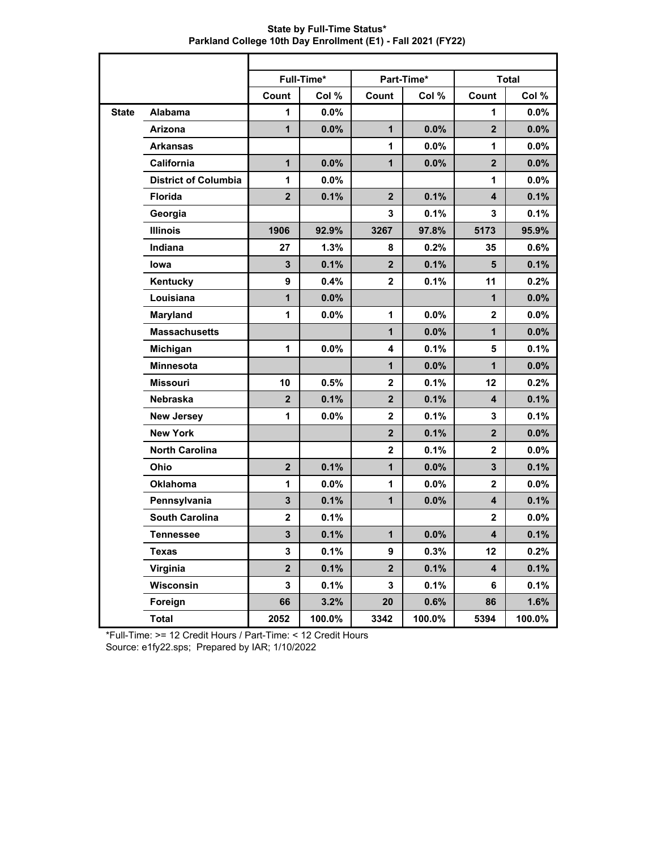|              |                             |                | Full-Time* |                         | Part-Time* |                         | <b>Total</b> |
|--------------|-----------------------------|----------------|------------|-------------------------|------------|-------------------------|--------------|
|              |                             | Count          | Col %      | Count                   | Col %      | Count                   | Col %        |
| <b>State</b> | <b>Alabama</b>              | 1              | 0.0%       |                         |            | 1                       | 0.0%         |
|              | Arizona                     | $\mathbf{1}$   | 0.0%       | $\mathbf{1}$            | 0.0%       | $\overline{2}$          | 0.0%         |
|              | <b>Arkansas</b>             |                |            | 1                       | 0.0%       | 1                       | 0.0%         |
|              | California                  | $\mathbf{1}$   | 0.0%       | $\mathbf{1}$            | 0.0%       | $\mathbf{2}$            | 0.0%         |
|              | <b>District of Columbia</b> | 1              | 0.0%       |                         |            | 1                       | 0.0%         |
|              | <b>Florida</b>              | $\mathbf{2}$   | 0.1%       | $\mathbf{2}$            | 0.1%       | $\overline{\mathbf{4}}$ | 0.1%         |
|              | Georgia                     |                |            | 3                       | 0.1%       | 3                       | 0.1%         |
|              | <b>Illinois</b>             | 1906           | 92.9%      | 3267                    | 97.8%      | 5173                    | 95.9%        |
|              | Indiana                     | 27             | 1.3%       | 8                       | 0.2%       | 35                      | 0.6%         |
|              | lowa                        | $\mathbf{3}$   | 0.1%       | $\mathbf{2}$            | 0.1%       | $5\phantom{1}$          | 0.1%         |
|              | Kentucky                    | 9              | 0.4%       | $\mathbf{2}$            | 0.1%       | 11                      | 0.2%         |
|              | Louisiana                   | $\mathbf 1$    | 0.0%       |                         |            | $\mathbf{1}$            | 0.0%         |
|              | Maryland                    | 1              | 0.0%       | 1                       | 0.0%       | $\overline{2}$          | 0.0%         |
|              | <b>Massachusetts</b>        |                |            | $\mathbf{1}$            | 0.0%       | 1                       | 0.0%         |
|              | Michigan                    | 1              | 0.0%       | 4                       | 0.1%       | 5                       | 0.1%         |
|              | <b>Minnesota</b>            |                |            | $\mathbf{1}$            | 0.0%       | 1                       | 0.0%         |
|              | <b>Missouri</b>             | 10             | 0.5%       | $\overline{2}$          | 0.1%       | 12                      | 0.2%         |
|              | Nebraska                    | $\overline{2}$ | 0.1%       | $\mathbf{2}$            | 0.1%       | $\overline{\mathbf{4}}$ | 0.1%         |
|              | <b>New Jersey</b>           | 1              | $0.0\%$    | $\mathbf{2}$            | 0.1%       | $\mathbf 3$             | 0.1%         |
|              | <b>New York</b>             |                |            | $\overline{2}$          | 0.1%       | $\overline{2}$          | 0.0%         |
|              | <b>North Carolina</b>       |                |            | $\mathbf{2}$            | 0.1%       | $\mathbf{2}$            | 0.0%         |
|              | Ohio                        | $\mathbf{2}$   | 0.1%       | $\mathbf{1}$            | 0.0%       | $\mathbf{3}$            | 0.1%         |
|              | <b>Oklahoma</b>             | 1              | 0.0%       | 1                       | 0.0%       | $\mathbf{2}$            | 0.0%         |
|              | Pennsylvania                | $\mathbf{3}$   | 0.1%       | $\mathbf{1}$            | 0.0%       | $\overline{\mathbf{4}}$ | 0.1%         |
|              | <b>South Carolina</b>       | $\mathbf 2$    | 0.1%       |                         |            | $\mathbf{2}$            | 0.0%         |
|              | <b>Tennessee</b>            | 3              | 0.1%       | $\mathbf{1}$            | $0.0\%$    | 4                       | 0.1%         |
|              | <b>Texas</b>                | $\mathbf{3}$   | 0.1%       | 9                       | 0.3%       | 12                      | 0.2%         |
|              | Virginia                    | $\mathbf{2}$   | 0.1%       | $\overline{\mathbf{2}}$ | 0.1%       | $\overline{\mathbf{4}}$ | 0.1%         |
|              | Wisconsin                   | $\mathbf{3}$   | 0.1%       | 3                       | 0.1%       | 6                       | 0.1%         |
|              | Foreign                     | 66             | 3.2%       | 20                      | 0.6%       | 86                      | 1.6%         |
|              | <b>Total</b>                | 2052           | 100.0%     | 3342                    | 100.0%     | 5394                    | 100.0%       |

**State by Full-Time Status\* Parkland College 10th Day Enrollment (E1) - Fall 2021 (FY22)**

\*Full-Time: >= 12 Credit Hours / Part-Time: < 12 Credit Hours Source: e1fy22.sps; Prepared by IAR; 1/10/2022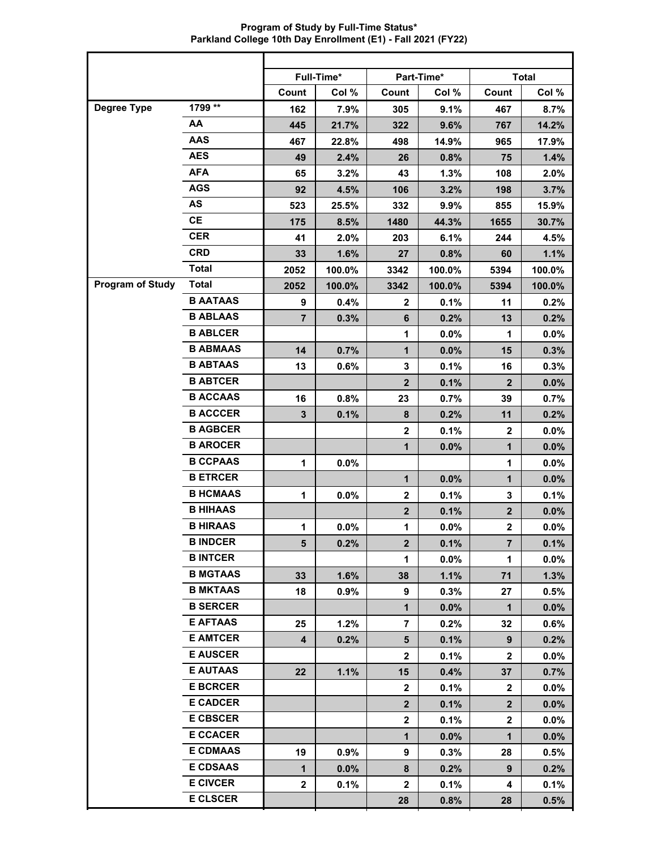**Program of Study by Full-Time Status\* Parkland College 10th Day Enrollment (E1) - Fall 2021 (FY22)**

|                         |                 | Full-Time*     |        |                         | Part-Time* |                | <b>Total</b> |
|-------------------------|-----------------|----------------|--------|-------------------------|------------|----------------|--------------|
|                         |                 | Count          | Col %  | Count                   | Col %      | Count          | Col %        |
| Degree Type             | 1799 **         | 162            | 7.9%   | 305                     | 9.1%       | 467            | 8.7%         |
|                         | AA              | 445            | 21.7%  | 322                     | 9.6%       | 767            | 14.2%        |
|                         | <b>AAS</b>      | 467            | 22.8%  | 498                     | 14.9%      | 965            | 17.9%        |
|                         | <b>AES</b>      | 49             | 2.4%   | 26                      | 0.8%       | 75             | 1.4%         |
|                         | <b>AFA</b>      | 65             | 3.2%   | 43                      | 1.3%       | 108            | 2.0%         |
|                         | <b>AGS</b>      | 92             | 4.5%   | 106                     | 3.2%       | 198            | 3.7%         |
|                         | AS              | 523            | 25.5%  | 332                     | 9.9%       | 855            | 15.9%        |
|                         | <b>CE</b>       | 175            | 8.5%   | 1480                    | 44.3%      | 1655           | 30.7%        |
|                         | <b>CER</b>      | 41             | 2.0%   | 203                     | 6.1%       | 244            | 4.5%         |
|                         | <b>CRD</b>      | 33             | 1.6%   | 27                      | 0.8%       | 60             | 1.1%         |
|                         | <b>Total</b>    | 2052           | 100.0% | 3342                    | 100.0%     | 5394           | 100.0%       |
| <b>Program of Study</b> | <b>Total</b>    | 2052           | 100.0% | 3342                    | 100.0%     | 5394           | 100.0%       |
|                         | <b>B AATAAS</b> | 9              | 0.4%   | $\mathbf{2}$            | 0.1%       | 11             | 0.2%         |
|                         | <b>B ABLAAS</b> | $\overline{7}$ | 0.3%   | $6\phantom{1}6$         | 0.2%       | 13             | 0.2%         |
|                         | <b>B ABLCER</b> |                |        | 1                       | 0.0%       | 1              | 0.0%         |
|                         | <b>B ABMAAS</b> | 14             | 0.7%   | $\mathbf{1}$            | 0.0%       | 15             | 0.3%         |
|                         | <b>B ABTAAS</b> | 13             | 0.6%   | 3                       | 0.1%       | 16             | 0.3%         |
|                         | <b>B ABTCER</b> |                |        | $\overline{2}$          | 0.1%       | $\mathbf{2}$   | 0.0%         |
|                         | <b>B ACCAAS</b> | 16             | 0.8%   | 23                      | 0.7%       | 39             | 0.7%         |
|                         | <b>B ACCCER</b> | 3              | 0.1%   | 8                       | 0.2%       | 11             | 0.2%         |
|                         | <b>B AGBCER</b> |                |        | $\mathbf 2$             | 0.1%       | $\mathbf 2$    | 0.0%         |
|                         | <b>B AROCER</b> |                |        | $\mathbf{1}$            | 0.0%       | $\mathbf{1}$   | 0.0%         |
|                         | <b>B CCPAAS</b> | 1              | 0.0%   |                         |            | 1              | 0.0%         |
|                         | <b>B ETRCER</b> |                |        | $\mathbf{1}$            | 0.0%       | $\mathbf{1}$   | 0.0%         |
|                         | <b>B HCMAAS</b> | 1              | 0.0%   | $\mathbf{2}$            | 0.1%       | 3              | 0.1%         |
|                         | <b>B HIHAAS</b> |                |        | $\mathbf{2}$            | 0.1%       | $\mathbf{2}$   | 0.0%         |
|                         | <b>B HIRAAS</b> | 1              | 0.0%   | $\mathbf 1$             | 0.0%       | $\mathbf{2}$   | 0.0%         |
|                         | <b>B INDCER</b> | 5              | 0.2%   | $\mathbf{2}$            | 0.1%       | $\overline{7}$ | 0.1%         |
|                         | <b>B INTCER</b> |                |        | $\mathbf{1}$            | 0.0%       | $\mathbf 1$    | $0.0\%$      |
|                         | <b>B MGTAAS</b> | 33             | 1.6%   | 38                      | 1.1%       | 71             | 1.3%         |
|                         | <b>B MKTAAS</b> | 18             | 0.9%   | 9                       | 0.3%       | 27             | 0.5%         |
|                         | <b>B SERCER</b> |                |        | $\mathbf{1}$            | 0.0%       | $\mathbf 1$    | 0.0%         |
|                         | <b>E AFTAAS</b> | 25             | 1.2%   | $\overline{7}$          | 0.2%       | 32             | 0.6%         |
|                         | <b>E AMTCER</b> | 4              | 0.2%   | 5                       | 0.1%       | 9              | 0.2%         |
|                         | <b>E AUSCER</b> |                |        | $\overline{2}$          | 0.1%       | $\mathbf{2}$   | $0.0\%$      |
|                         | <b>E AUTAAS</b> | 22             | 1.1%   | 15                      | 0.4%       | 37             | 0.7%         |
|                         | <b>E BCRCER</b> |                |        | $\overline{2}$          | 0.1%       | $\mathbf{2}$   | $0.0\%$      |
|                         | <b>E CADCER</b> |                |        | $\overline{\mathbf{2}}$ | 0.1%       | 2 <sup>2</sup> | $0.0\%$      |
|                         | <b>E CBSCER</b> |                |        | $\mathbf{2}$            | 0.1%       | $\mathbf{2}$   | $0.0\%$      |
|                         | <b>E CCACER</b> |                |        | $\mathbf{1}$            | 0.0%       | $\mathbf 1$    | $0.0\%$      |
|                         | <b>E CDMAAS</b> | 19             | 0.9%   | 9                       | 0.3%       | 28             | 0.5%         |
|                         | <b>E CDSAAS</b> | 1              | 0.0%   | 8                       | 0.2%       | 9              | 0.2%         |
|                         | <b>E CIVCER</b> | $\mathbf 2$    | 0.1%   | $\mathbf{2}$            | 0.1%       | 4              | 0.1%         |
|                         | <b>E CLSCER</b> |                |        | 28                      | 0.8%       | 28             | 0.5%         |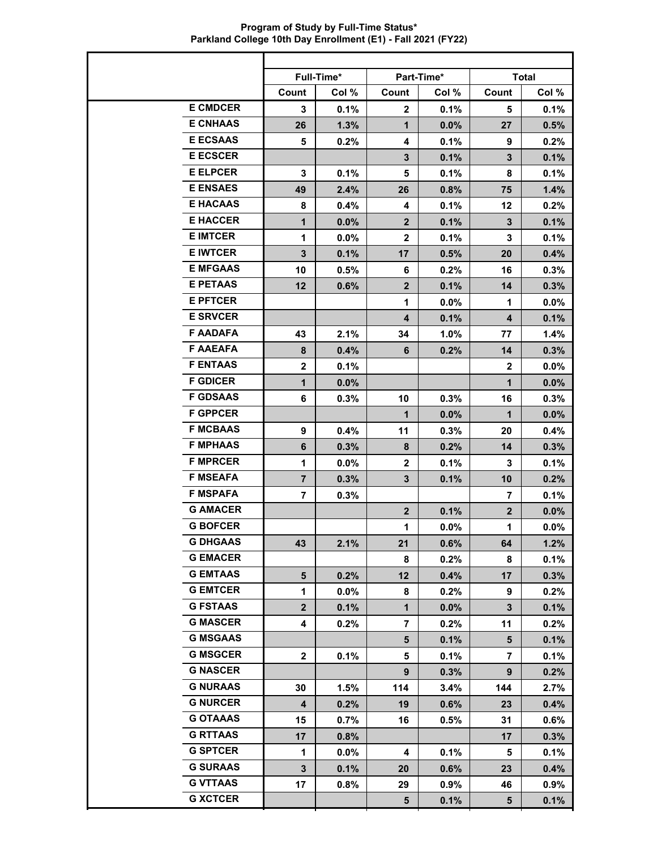**Program of Study by Full-Time Status\* Parkland College 10th Day Enrollment (E1) - Fall 2021 (FY22)**

|                 | Full-Time*     |         |                         | <b>Part-Time*</b> |                | <b>Total</b> |
|-----------------|----------------|---------|-------------------------|-------------------|----------------|--------------|
|                 | Count          | Col %   | Count                   | Col %             | Count          | Col %        |
| <b>E CMDCER</b> | 3              | 0.1%    | $\overline{2}$          | 0.1%              | 5              | 0.1%         |
| <b>E CNHAAS</b> | 26             | 1.3%    | $\mathbf 1$             | 0.0%              | 27             | 0.5%         |
| <b>E ECSAAS</b> | 5              | 0.2%    | 4                       | 0.1%              | 9              | 0.2%         |
| <b>E ECSCER</b> |                |         | $\mathbf{3}$            | 0.1%              | $\mathbf{3}$   | 0.1%         |
| <b>E ELPCER</b> | 3              | 0.1%    | 5                       | 0.1%              | 8              | 0.1%         |
| <b>E ENSAES</b> | 49             | 2.4%    | 26                      | 0.8%              | 75             | 1.4%         |
| <b>E HACAAS</b> | 8              | 0.4%    | 4                       | 0.1%              | 12             | 0.2%         |
| <b>E HACCER</b> | $\mathbf{1}$   | $0.0\%$ | 2 <sup>1</sup>          | 0.1%              | 3              | 0.1%         |
| <b>E IMTCER</b> | $\mathbf{1}$   | $0.0\%$ | $\overline{2}$          | 0.1%              | 3              | 0.1%         |
| <b>E IWTCER</b> | $\mathbf{3}$   | 0.1%    | 17                      | 0.5%              | 20             | 0.4%         |
| <b>E MFGAAS</b> | 10             | 0.5%    | 6                       | 0.2%              | 16             | 0.3%         |
| <b>E PETAAS</b> | 12             | 0.6%    | $\overline{\mathbf{2}}$ | 0.1%              | 14             | 0.3%         |
| <b>E PFTCER</b> |                |         | $\mathbf{1}$            | 0.0%              | 1              | $0.0\%$      |
| <b>E SRVCER</b> |                |         | 4                       | 0.1%              | 4              | 0.1%         |
| <b>F AADAFA</b> | 43             | 2.1%    | 34                      | 1.0%              | 77             | 1.4%         |
| <b>F AAEAFA</b> | 8              | 0.4%    | 6                       | 0.2%              | 14             | 0.3%         |
| <b>F ENTAAS</b> | $\mathbf{2}$   | 0.1%    |                         |                   | $\overline{2}$ | $0.0\%$      |
| <b>F GDICER</b> | $\mathbf{1}$   | $0.0\%$ |                         |                   | $\mathbf{1}$   | $0.0\%$      |
| <b>F GDSAAS</b> | 6              | 0.3%    | 10                      | 0.3%              | 16             | 0.3%         |
| <b>F GPPCER</b> |                |         | $\mathbf{1}$            | $0.0\%$           | 1              | $0.0\%$      |
| <b>F MCBAAS</b> | 9              | 0.4%    | 11                      | 0.3%              | 20             | 0.4%         |
| <b>F MPHAAS</b> | 6              | 0.3%    | 8                       | 0.2%              | 14             | 0.3%         |
| <b>F MPRCER</b> | $\mathbf{1}$   | $0.0\%$ | $\overline{2}$          | 0.1%              | 3              | 0.1%         |
| <b>F MSEAFA</b> | $\overline{7}$ | 0.3%    | $\mathbf{3}$            | 0.1%              | 10             | 0.2%         |
| <b>F MSPAFA</b> | $\overline{7}$ | 0.3%    |                         |                   | $\overline{7}$ | 0.1%         |
| <b>G AMACER</b> |                |         | $\mathbf{2}$            | 0.1%              | 2 <sup>2</sup> | $0.0\%$      |
| <b>G BOFCER</b> |                |         | 1                       | 0.0%              | $\mathbf 1$    | $0.0\%$      |
| <b>G DHGAAS</b> | 43             | 2.1%    | 21                      | 0.6%              | 64             | 1.2%         |
| <b>G EMACER</b> |                |         | 8                       | 0.2%              | 8              | 0.1%         |
| <b>G EMTAAS</b> | 5              | 0.2%    | 12                      | 0.4%              | 17             | 0.3%         |
| <b>G EMTCER</b> | $\mathbf 1$    | $0.0\%$ | 8                       | 0.2%              | 9              | 0.2%         |
| <b>G FSTAAS</b> | $\mathbf{2}$   | 0.1%    | 1                       | $0.0\%$           | 3              | 0.1%         |
| <b>G MASCER</b> | 4              | 0.2%    | $\overline{7}$          | 0.2%              | 11             | 0.2%         |
| <b>G MSGAAS</b> |                |         | 5                       | 0.1%              | 5              | 0.1%         |
| <b>G MSGCER</b> | $\mathbf{2}$   | 0.1%    | 5                       | 0.1%              | $\overline{7}$ | 0.1%         |
| <b>G NASCER</b> |                |         | 9                       | 0.3%              | 9              | $0.2\%$      |
| <b>G NURAAS</b> | 30             | 1.5%    | 114                     | 3.4%              | 144            | 2.7%         |
| <b>G NURCER</b> | 4              | 0.2%    | 19                      | 0.6%              | 23             | $0.4\%$      |
| <b>G OTAAAS</b> | 15             | $0.7\%$ | 16                      | 0.5%              | 31             | 0.6%         |
| <b>G RTTAAS</b> | 17             | 0.8%    |                         |                   | 17             | 0.3%         |
| <b>G SPTCER</b> | 1              | $0.0\%$ | 4                       | 0.1%              | 5              | 0.1%         |
| <b>G SURAAS</b> | $\mathbf{3}$   | 0.1%    | 20                      | 0.6%              | 23             | $0.4\%$      |
| <b>G VTTAAS</b> | 17             | 0.8%    | 29                      | 0.9%              | 46             | $0.9\%$      |
| <b>G XCTCER</b> |                |         | 5                       | 0.1%              | 5              | 0.1%         |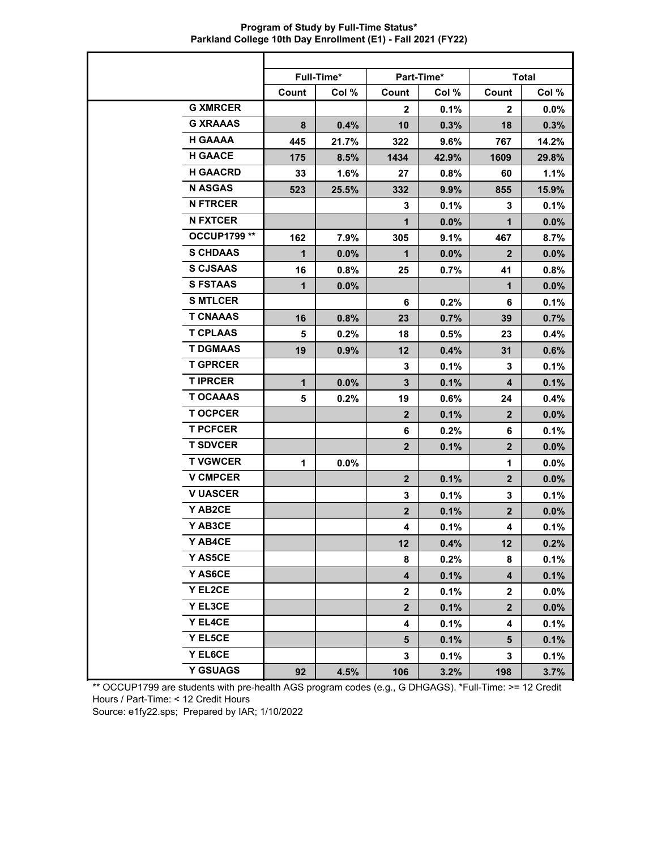| Program of Study by Full-Time Status*                        |  |
|--------------------------------------------------------------|--|
| Parkland College 10th Day Enrollment (E1) - Fall 2021 (FY22) |  |

|                 |              | Full-Time* |                         | Part-Time* |                         | <b>Total</b> |
|-----------------|--------------|------------|-------------------------|------------|-------------------------|--------------|
|                 | Count        | Col %      | Count                   | Col %      | Count                   | Col %        |
| <b>G XMRCER</b> |              |            | $\mathbf{2}$            | 0.1%       | $\mathbf{2}$            | 0.0%         |
| <b>G XRAAAS</b> | 8            | 0.4%       | 10                      | 0.3%       | 18                      | 0.3%         |
| <b>H GAAAA</b>  | 445          | 21.7%      | 322                     | 9.6%       | 767                     | 14.2%        |
| <b>H GAACE</b>  | 175          | 8.5%       | 1434                    | 42.9%      | 1609                    | 29.8%        |
| <b>H GAACRD</b> | 33           | 1.6%       | 27                      | 0.8%       | 60                      | 1.1%         |
| <b>N ASGAS</b>  | 523          | 25.5%      | 332                     | 9.9%       | 855                     | 15.9%        |
| <b>N FTRCER</b> |              |            | 3                       | 0.1%       | 3                       | 0.1%         |
| <b>N FXTCER</b> |              |            | $\mathbf 1$             | 0.0%       | $\mathbf{1}$            | 0.0%         |
| OCCUP1799 **    | 162          | 7.9%       | 305                     | 9.1%       | 467                     | 8.7%         |
| <b>S CHDAAS</b> | $\mathbf 1$  | 0.0%       | $\mathbf 1$             | 0.0%       | $\overline{2}$          | 0.0%         |
| <b>S CJSAAS</b> | 16           | 0.8%       | 25                      | 0.7%       | 41                      | 0.8%         |
| <b>S FSTAAS</b> | $\mathbf{1}$ | 0.0%       |                         |            | $\mathbf{1}$            | 0.0%         |
| <b>S MTLCER</b> |              |            | 6                       | 0.2%       | 6                       | 0.1%         |
| <b>T CNAAAS</b> | 16           | 0.8%       | 23                      | 0.7%       | 39                      | 0.7%         |
| <b>T CPLAAS</b> | 5            | 0.2%       | 18                      | 0.5%       | 23                      | 0.4%         |
| <b>T DGMAAS</b> | 19           | 0.9%       | 12                      | 0.4%       | 31                      | 0.6%         |
| <b>T GPRCER</b> |              |            | 3                       | 0.1%       | 3                       | 0.1%         |
| <b>T IPRCER</b> | $\mathbf{1}$ | 0.0%       | 3                       | 0.1%       | $\overline{\mathbf{4}}$ | 0.1%         |
| <b>T OCAAAS</b> | 5            | 0.2%       | 19                      | 0.6%       | 24                      | 0.4%         |
| <b>TOCPCER</b>  |              |            | $\overline{2}$          | 0.1%       | $\overline{2}$          | 0.0%         |
| <b>T PCFCER</b> |              |            | 6                       | 0.2%       | 6                       | 0.1%         |
| <b>T SDVCER</b> |              |            | $\overline{2}$          | 0.1%       | $\overline{2}$          | 0.0%         |
| <b>T VGWCER</b> | 1            | $0.0\%$    |                         |            | 1                       | 0.0%         |
| <b>V CMPCER</b> |              |            | $\overline{2}$          | 0.1%       | $\overline{2}$          | 0.0%         |
| <b>V UASCER</b> |              |            | 3                       | 0.1%       | 3                       | 0.1%         |
| Y AB2CE         |              |            | $\overline{2}$          | 0.1%       | $\overline{2}$          | 0.0%         |
| Y AB3CE         |              |            | 4                       | 0.1%       | 4                       | 0.1%         |
| Y AB4CE         |              |            | 12                      | 0.4%       | 12                      | 0.2%         |
| Y AS5CE         |              |            | 8                       | 0.2%       | 8                       | 0.1%         |
| Y AS6CE         |              |            | $\overline{\mathbf{4}}$ | 0.1%       | $\overline{\mathbf{4}}$ | 0.1%         |
| Y EL2CE         |              |            | $\mathbf{2}$            | 0.1%       | $\overline{\mathbf{2}}$ | 0.0%         |
| Y EL3CE         |              |            | $\overline{\mathbf{2}}$ | 0.1%       | $\overline{2}$          | 0.0%         |
| Y EL4CE         |              |            | 4                       | 0.1%       | 4                       | 0.1%         |
| Y EL5CE         |              |            | 5                       | 0.1%       | $5\phantom{.0}$         | 0.1%         |
| Y EL6CE         |              |            | 3                       | 0.1%       | 3                       | 0.1%         |
| <b>Y GSUAGS</b> | 92           | 4.5%       | 106                     | 3.2%       | 198                     | 3.7%         |

\*\* OCCUP1799 are students with pre-health AGS program codes (e.g., G DHGAGS). \*Full-Time: >= 12 Credit Hours / Part-Time: < 12 Credit Hours

Source: e1fy22.sps; Prepared by IAR; 1/10/2022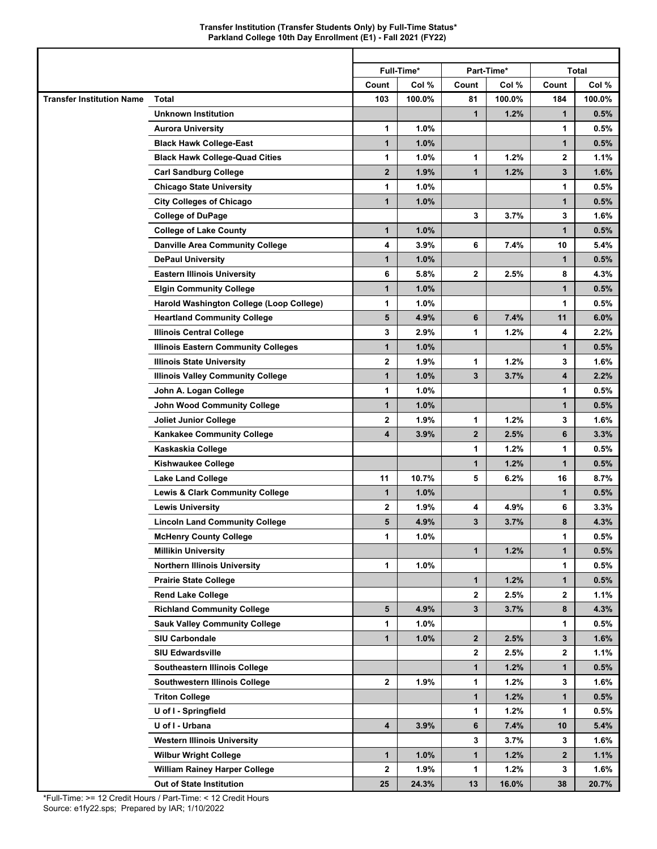|                                  |                                            |              | Full-Time* |              | Part-Time* |              | <b>Total</b> |
|----------------------------------|--------------------------------------------|--------------|------------|--------------|------------|--------------|--------------|
|                                  |                                            | Count        | Col %      | Count        | Col %      | Count        | Col %        |
| <b>Transfer Institution Name</b> | Total                                      | 103          | 100.0%     | 81           | 100.0%     | 184          | 100.0%       |
|                                  | <b>Unknown Institution</b>                 |              |            | $\mathbf{1}$ | 1.2%       | 1            | 0.5%         |
|                                  | <b>Aurora University</b>                   | 1            | 1.0%       |              |            | 1            | 0.5%         |
|                                  | <b>Black Hawk College-East</b>             | $\mathbf{1}$ | 1.0%       |              |            | 1            | 0.5%         |
|                                  | <b>Black Hawk College-Quad Cities</b>      | 1            | 1.0%       | 1            | 1.2%       | 2            | 1.1%         |
|                                  | <b>Carl Sandburg College</b>               | $\mathbf{2}$ | 1.9%       | $\mathbf{1}$ | 1.2%       | 3            | 1.6%         |
|                                  | <b>Chicago State University</b>            | 1            | 1.0%       |              |            | 1            | 0.5%         |
|                                  | <b>City Colleges of Chicago</b>            | $\mathbf{1}$ | 1.0%       |              |            | 1            | 0.5%         |
|                                  | <b>College of DuPage</b>                   |              |            | 3            | 3.7%       | 3            | 1.6%         |
|                                  | <b>College of Lake County</b>              | $\mathbf{1}$ | 1.0%       |              |            | 1            | 0.5%         |
|                                  | <b>Danville Area Community College</b>     | 4            | 3.9%       | 6            | 7.4%       | 10           | 5.4%         |
|                                  | <b>DePaul University</b>                   | 1            | 1.0%       |              |            | 1            | 0.5%         |
|                                  | <b>Eastern Illinois University</b>         | 6            | 5.8%       | $\mathbf{2}$ | 2.5%       | 8            | 4.3%         |
|                                  | <b>Elgin Community College</b>             | $\mathbf{1}$ | 1.0%       |              |            | 1            | 0.5%         |
|                                  | Harold Washington College (Loop College)   | 1            | 1.0%       |              |            | 1            | 0.5%         |
|                                  | <b>Heartland Community College</b>         | 5            | 4.9%       | 6            | 7.4%       | 11           | 6.0%         |
|                                  | <b>Illinois Central College</b>            | 3            | 2.9%       | 1            | 1.2%       | 4            | 2.2%         |
|                                  | <b>Illinois Eastern Community Colleges</b> | $\mathbf{1}$ | 1.0%       |              |            | $\mathbf{1}$ | 0.5%         |
|                                  | <b>Illinois State University</b>           | $\mathbf 2$  | 1.9%       | 1            | 1.2%       | 3            | $1.6\%$      |
|                                  | <b>Illinois Valley Community College</b>   | 1            | 1.0%       | 3            | 3.7%       | 4            | 2.2%         |
|                                  | John A. Logan College                      | 1            | 1.0%       |              |            | 1            | 0.5%         |
|                                  | <b>John Wood Community College</b>         | $\mathbf{1}$ | 1.0%       |              |            | $\mathbf{1}$ | 0.5%         |
|                                  | Joliet Junior College                      | 2            | 1.9%       | 1            | 1.2%       | 3            | $1.6\%$      |
|                                  | <b>Kankakee Community College</b>          | 4            | 3.9%       | $\mathbf{2}$ | 2.5%       | 6            | 3.3%         |
|                                  | Kaskaskia College                          |              |            | 1            | 1.2%       | 1            | 0.5%         |
|                                  | <b>Kishwaukee College</b>                  |              |            | $\mathbf{1}$ | 1.2%       | $\mathbf{1}$ | 0.5%         |
|                                  | <b>Lake Land College</b>                   | 11           | 10.7%      | 5            | 6.2%       | 16           | 8.7%         |
|                                  | <b>Lewis &amp; Clark Community College</b> | 1            | 1.0%       |              |            | 1            | 0.5%         |
|                                  | <b>Lewis University</b>                    | 2            | 1.9%       | 4            | 4.9%       | 6            | 3.3%         |
|                                  | <b>Lincoln Land Community College</b>      | 5            | 4.9%       | 3            | 3.7%       | 8            | 4.3%         |
|                                  | <b>McHenry County College</b>              | 1            | 1.0%       |              |            | 1            | 0.5%         |
|                                  | <b>Millikin University</b>                 |              |            | $\mathbf{1}$ | 1.2%       | $\mathbf 1$  | 0.5%         |
|                                  | <b>Northern Illinois University</b>        | 1            | 1.0%       |              |            | 1            | 0.5%         |
|                                  | <b>Prairie State College</b>               |              |            | $\mathbf{1}$ | 1.2%       | 1            | 0.5%         |
|                                  | <b>Rend Lake College</b>                   |              |            | $\mathbf{2}$ | 2.5%       | 2            | 1.1%         |
|                                  | <b>Richland Community College</b>          | 5            | 4.9%       | $\mathbf{3}$ | 3.7%       | 8            | 4.3%         |
|                                  | <b>Sauk Valley Community College</b>       | 1            | 1.0%       |              |            | 1            | 0.5%         |
|                                  | SIU Carbondale                             | $\mathbf{1}$ | 1.0%       | $\mathbf{2}$ | 2.5%       | 3            | 1.6%         |
|                                  | <b>SIU Edwardsville</b>                    |              |            | $\mathbf{2}$ | 2.5%       | 2            | 1.1%         |
|                                  | Southeastern Illinois College              |              |            | $\mathbf{1}$ | 1.2%       | 1            | 0.5%         |
|                                  | Southwestern Illinois College              | $\mathbf{2}$ | 1.9%       | 1            | 1.2%       | 3            | 1.6%         |
|                                  | <b>Triton College</b>                      |              |            | $\mathbf{1}$ | 1.2%       | 1            | 0.5%         |
|                                  | U of I - Springfield                       |              |            | 1            | 1.2%       | 1            | 0.5%         |
|                                  | U of I - Urbana                            | 4            | 3.9%       | 6            | 7.4%       | 10           | 5.4%         |
|                                  | <b>Western Illinois University</b>         |              |            | 3            | 3.7%       | 3            | 1.6%         |
|                                  | <b>Wilbur Wright College</b>               | 1            | $1.0\%$    | 1            | 1.2%       | $\mathbf{2}$ | $1.1\%$      |
|                                  | <b>William Rainey Harper College</b>       | $\mathbf{2}$ | 1.9%       | 1            | 1.2%       | 3            | 1.6%         |
|                                  | <b>Out of State Institution</b>            | 25           | 24.3%      | 13           | 16.0%      | 38           | 20.7%        |
|                                  |                                            |              |            |              |            |              |              |

Τ

٦

\*Full-Time: >= 12 Credit Hours / Part-Time: < 12 Credit Hours Source: e1fy22.sps; Prepared by IAR; 1/10/2022

Г